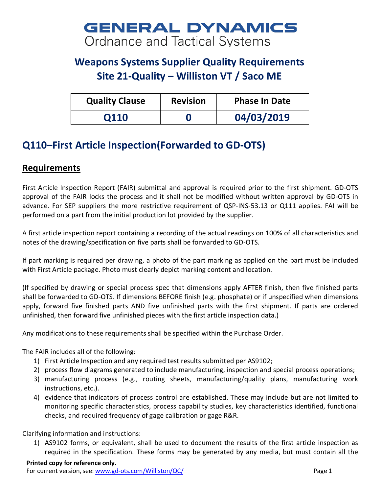## **GENERAL DYNAMICS** Ordnance and Tactical Systems

## **Weapons Systems Supplier Quality Requirements Site 21-Quality – Williston VT / Saco ME**

| <b>Quality Clause</b> | <b>Revision</b> | <b>Phase In Date</b> |
|-----------------------|-----------------|----------------------|
| 0110                  |                 | 04/03/2019           |

## **Q110–First Article Inspection(Forwarded to GD-OTS)**

## **Requirements**

First Article Inspection Report (FAIR) submittal and approval is required prior to the first shipment. GD-OTS approval of the FAIR locks the process and it shall not be modified without written approval by GD-OTS in advance. For SEP suppliers the more restrictive requirement of QSP-INS-53.13 or Q111 applies. FAI will be performed on a part from the initial production lot provided by the supplier.

A first article inspection report containing a recording of the actual readings on 100% of all characteristics and notes of the drawing/specification on five parts shall be forwarded to GD-OTS.

If part marking is required per drawing, a photo of the part marking as applied on the part must be included with First Article package. Photo must clearly depict marking content and location.

(If specified by drawing or special process spec that dimensions apply AFTER finish, then five finished parts shall be forwarded to GD-OTS. If dimensions BEFORE finish (e.g. phosphate) or if unspecified when dimensions apply, forward five finished parts AND five unfinished parts with the first shipment. If parts are ordered unfinished, then forward five unfinished pieces with the first article inspection data.)

Any modifications to these requirements shall be specified within the Purchase Order.

The FAIR includes all of the following:

- 1) First Article Inspection and any required test results submitted per AS9102;
- 2) process flow diagrams generated to include manufacturing, inspection and special process operations;
- 3) manufacturing process (e.g., routing sheets, manufacturing/quality plans, manufacturing work instructions, etc.).
- 4) evidence that indicators of process control are established. These may include but are not limited to monitoring specific characteristics, process capability studies, key characteristics identified, functional checks, and required frequency of gage calibration or gage R&R.

Clarifying information and instructions:

1) AS9102 forms, or equivalent, shall be used to document the results of the first article inspection as required in the specification. These forms may be generated by any media, but must contain all the